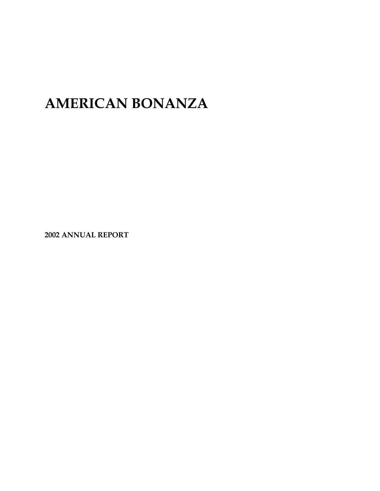# **AMERICAN BONANZA**

**2002 ANNUAL REPORT**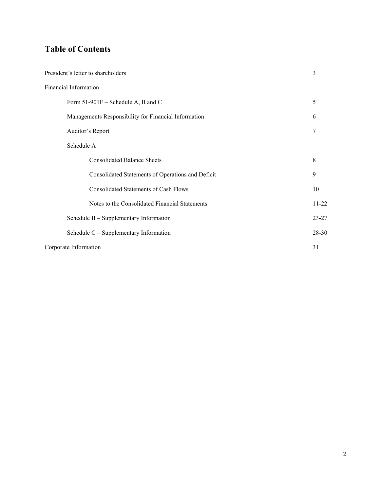## **Table of Contents**

| President's letter to shareholders                   |           |
|------------------------------------------------------|-----------|
| Financial Information                                |           |
| Form 51-901F – Schedule A, B and C                   | 5         |
| Managements Responsibility for Financial Information | 6         |
| Auditor's Report                                     | 7         |
| Schedule A                                           |           |
| <b>Consolidated Balance Sheets</b>                   | 8         |
| Consolidated Statements of Operations and Deficit    | 9         |
| <b>Consolidated Statements of Cash Flows</b>         | 10        |
| Notes to the Consolidated Financial Statements       | $11-22$   |
| Schedule $B -$ Supplementary Information             | $23 - 27$ |
| Schedule $C$ – Supplementary Information             | $28 - 30$ |
| Corporate Information                                | 31        |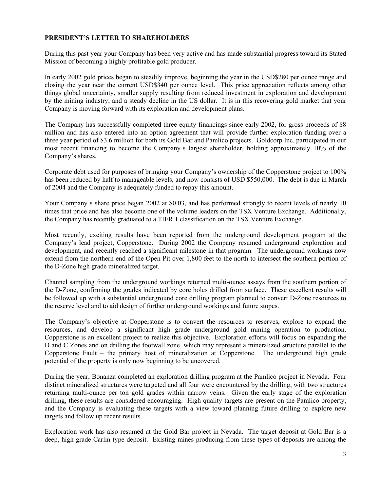### **PRESIDENT'S LETTER TO SHAREHOLDERS**

During this past year your Company has been very active and has made substantial progress toward its Stated Mission of becoming a highly profitable gold producer.

In early 2002 gold prices began to steadily improve, beginning the year in the USD\$280 per ounce range and closing the year near the current USD\$340 per ounce level. This price appreciation reflects among other things global uncertainty, smaller supply resulting from reduced investment in exploration and development by the mining industry, and a steady decline in the US dollar. It is in this recovering gold market that your Company is moving forward with its exploration and development plans.

The Company has successfully completed three equity financings since early 2002, for gross proceeds of \$8 million and has also entered into an option agreement that will provide further exploration funding over a three year period of \$3.6 million for both its Gold Bar and Pamlico projects. Goldcorp Inc. participated in our most recent financing to become the Company's largest shareholder, holding approximately 10% of the Company's shares.

Corporate debt used for purposes of bringing your Company's ownership of the Copperstone project to 100% has been reduced by half to manageable levels, and now consists of USD \$550,000. The debt is due in March of 2004 and the Company is adequately funded to repay this amount.

Your Company's share price began 2002 at \$0.03, and has performed strongly to recent levels of nearly 10 times that price and has also become one of the volume leaders on the TSX Venture Exchange. Additionally, the Company has recently graduated to a TIER 1 classification on the TSX Venture Exchange.

Most recently, exciting results have been reported from the underground development program at the Company's lead project, Copperstone. During 2002 the Company resumed underground exploration and development, and recently reached a significant milestone in that program. The underground workings now extend from the northern end of the Open Pit over 1,800 feet to the north to intersect the southern portion of the D-Zone high grade mineralized target.

Channel sampling from the underground workings returned multi-ounce assays from the southern portion of the D-Zone, confirming the grades indicated by core holes drilled from surface. These excellent results will be followed up with a substantial underground core drilling program planned to convert D-Zone resources to the reserve level and to aid design of further underground workings and future stopes.

The Company's objective at Copperstone is to convert the resources to reserves, explore to expand the resources, and develop a significant high grade underground gold mining operation to production. Copperstone is an excellent project to realize this objective. Exploration efforts will focus on expanding the D and C Zones and on drilling the footwall zone, which may represent a mineralized structure parallel to the Copperstone Fault – the primary host of mineralization at Copperstone. The underground high grade potential of the property is only now beginning to be uncovered.

During the year, Bonanza completed an exploration drilling program at the Pamlico project in Nevada. Four distinct mineralized structures were targeted and all four were encountered by the drilling, with two structures returning multi-ounce per ton gold grades within narrow veins. Given the early stage of the exploration drilling, these results are considered encouraging. High quality targets are present on the Pamlico property, and the Company is evaluating these targets with a view toward planning future drilling to explore new targets and follow up recent results.

Exploration work has also resumed at the Gold Bar project in Nevada. The target deposit at Gold Bar is a deep, high grade Carlin type deposit. Existing mines producing from these types of deposits are among the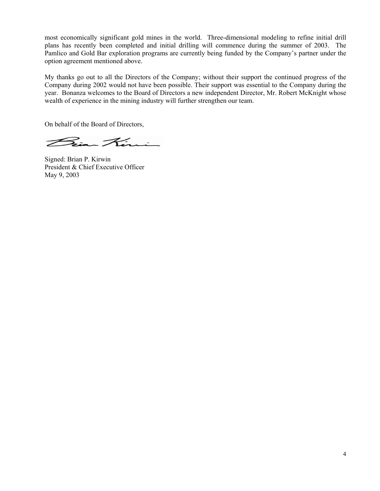most economically significant gold mines in the world. Three-dimensional modeling to refine initial drill plans has recently been completed and initial drilling will commence during the summer of 2003. The Pamlico and Gold Bar exploration programs are currently being funded by the Company's partner under the option agreement mentioned above.

My thanks go out to all the Directors of the Company; without their support the continued progress of the Company during 2002 would not have been possible. Their support was essential to the Company during the year. Bonanza welcomes to the Board of Directors a new independent Director, Mr. Robert McKnight whose wealth of experience in the mining industry will further strengthen our team.

On behalf of the Board of Directors,

Bian Kirnin

Signed: Brian P. Kirwin President & Chief Executive Officer May 9, 2003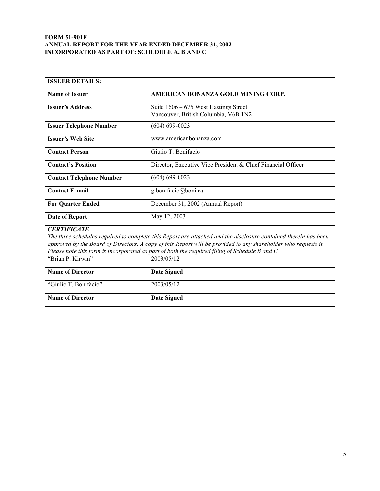#### **FORM 51-901F ANNUAL REPORT FOR THE YEAR ENDED DECEMBER 31, 2002 INCORPORATED AS PART OF: SCHEDULE A, B AND C**

| <b>ISSUER DETAILS:</b>                                                                         |                                                                                                                 |  |
|------------------------------------------------------------------------------------------------|-----------------------------------------------------------------------------------------------------------------|--|
| <b>Name of Issuer</b>                                                                          | AMERICAN BONANZA GOLD MINING CORP.                                                                              |  |
| <b>Issuer's Address</b>                                                                        | Suite $1606 - 675$ West Hastings Street<br>Vancouver, British Columbia, V6B 1N2                                 |  |
| <b>Issuer Telephone Number</b>                                                                 | $(604) 699 - 0023$                                                                                              |  |
| <b>Issuer's Web Site</b>                                                                       | www.americanbonanza.com                                                                                         |  |
| <b>Contact Person</b>                                                                          | Giulio T. Bonifacio                                                                                             |  |
| <b>Contact's Position</b>                                                                      | Director, Executive Vice President & Chief Financial Officer                                                    |  |
| <b>Contact Telephone Number</b>                                                                | $(604) 699 - 0023$                                                                                              |  |
| <b>Contact E-mail</b>                                                                          | gtbonifacio@boni.ca                                                                                             |  |
| <b>For Quarter Ended</b>                                                                       | December 31, 2002 (Annual Report)                                                                               |  |
| <b>Date of Report</b>                                                                          | May 12, 2003                                                                                                    |  |
| <b>CERTIFICATE</b>                                                                             |                                                                                                                 |  |
|                                                                                                | The three schedules required to complete this Report are attached and the disclosure contained therein has been |  |
|                                                                                                | approved by the Board of Directors. A copy of this Report will be provided to any shareholder who requests it.  |  |
| Please note this form is incorporated as part of both the required filing of Schedule B and C. |                                                                                                                 |  |
| "Brian P. Kirwin"                                                                              | 2003/05/12                                                                                                      |  |
| <b>Name of Director</b>                                                                        | <b>Date Signed</b>                                                                                              |  |
| "Giulio T. Bonifacio"                                                                          | 2003/05/12                                                                                                      |  |
| <b>Name of Director</b>                                                                        | <b>Date Signed</b>                                                                                              |  |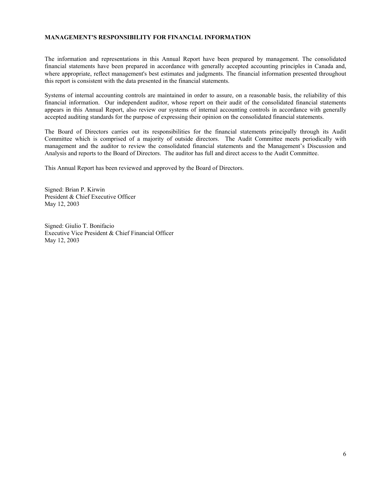#### **MANAGEMENT'S RESPONSIBILITY FOR FINANCIAL INFORMATION**

The information and representations in this Annual Report have been prepared by management. The consolidated financial statements have been prepared in accordance with generally accepted accounting principles in Canada and, where appropriate, reflect management's best estimates and judgments. The financial information presented throughout this report is consistent with the data presented in the financial statements.

Systems of internal accounting controls are maintained in order to assure, on a reasonable basis, the reliability of this financial information. Our independent auditor, whose report on their audit of the consolidated financial statements appears in this Annual Report, also review our systems of internal accounting controls in accordance with generally accepted auditing standards for the purpose of expressing their opinion on the consolidated financial statements.

The Board of Directors carries out its responsibilities for the financial statements principally through its Audit Committee which is comprised of a majority of outside directors. The Audit Committee meets periodically with management and the auditor to review the consolidated financial statements and the Management's Discussion and Analysis and reports to the Board of Directors. The auditor has full and direct access to the Audit Committee.

This Annual Report has been reviewed and approved by the Board of Directors.

Signed: Brian P. Kirwin President & Chief Executive Officer May 12, 2003

Signed: Giulio T. Bonifacio Executive Vice President & Chief Financial Officer May 12, 2003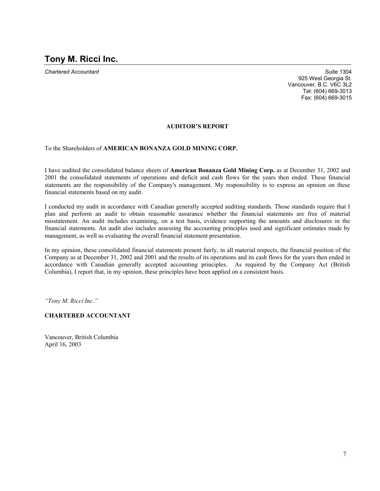**Chartered Accountant Suite 1304** Suite 1304 925 West Georgia St. Vancouver, B.C. V6C 3L2 Tel: (604) 669-3013 Fax: (604) 669-3015

#### **AUDITOR'S REPORT**

To the Shareholders of **AMERICAN BONANZA GOLD MINING CORP.**

I have audited the consolidated balance sheets of **American Bonanza Gold Mining Corp.** as at December 31, 2002 and 2001 the consolidated statements of operations and deficit and cash flows for the years then ended. These financial statements are the responsibility of the Company's management. My responsibility is to express an opinion on these financial statements based on my audit.

I conducted my audit in accordance with Canadian generally accepted auditing standards. Those standards require that I plan and perform an audit to obtain reasonable assurance whether the financial statements are free of material misstatement. An audit includes examining, on a test basis, evidence supporting the amounts and disclosures in the financial statements. An audit also includes assessing the accounting principles used and significant estimates made by management, as well as evaluating the overall financial statement presentation.

In my opinion, these consolidated financial statements present fairly, in all material respects, the financial position of the Company as at December 31, 2002 and 2001 and the results of its operations and its cash flows for the years then ended in accordance with Canadian generally accepted accounting principles. As required by the Company Act (British Columbia), I report that, in my opinion, these principles have been applied on a consistent basis.

*"Tony M. Ricci Inc."* 

#### **CHARTERED ACCOUNTANT**

Vancouver, British Columbia April 16, 2003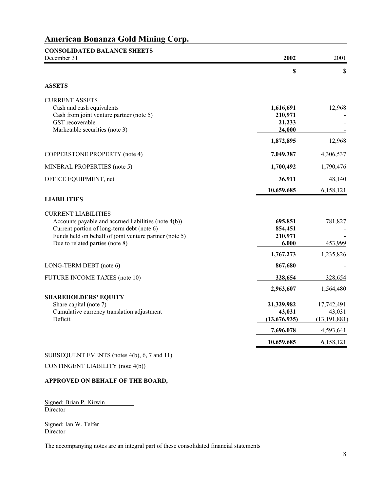| <b>CONSOLIDATED BALANCE SHEETS</b><br>December 31                                                                                                                                                                             | 2002                                     | 2001                                   |
|-------------------------------------------------------------------------------------------------------------------------------------------------------------------------------------------------------------------------------|------------------------------------------|----------------------------------------|
|                                                                                                                                                                                                                               | $\boldsymbol{\mathsf{S}}$                | \$                                     |
| <b>ASSETS</b>                                                                                                                                                                                                                 |                                          |                                        |
| <b>CURRENT ASSETS</b><br>Cash and cash equivalents<br>Cash from joint venture partner (note 5)<br>GST recoverable<br>Marketable securities (note 3)                                                                           | 1,616,691<br>210,971<br>21,233<br>24,000 | 12,968                                 |
|                                                                                                                                                                                                                               | 1,872,895                                | 12,968                                 |
| COPPERSTONE PROPERTY (note 4)                                                                                                                                                                                                 | 7,049,387                                | 4,306,537                              |
| MINERAL PROPERTIES (note 5)                                                                                                                                                                                                   | 1,700,492                                | 1,790,476                              |
| OFFICE EQUIPMENT, net                                                                                                                                                                                                         | 36,911                                   | 48,140                                 |
|                                                                                                                                                                                                                               | 10,659,685                               | 6,158,121                              |
| <b>LIABILITIES</b>                                                                                                                                                                                                            |                                          |                                        |
| <b>CURRENT LIABILITIES</b><br>Accounts payable and accrued liabilities (note 4(b))<br>Current portion of long-term debt (note 6)<br>Funds held on behalf of joint venture partner (note 5)<br>Due to related parties (note 8) | 695,851<br>854,451<br>210,971<br>6,000   | 781,827<br>453,999                     |
|                                                                                                                                                                                                                               | 1,767,273                                | 1,235,826                              |
| LONG-TERM DEBT (note 6)                                                                                                                                                                                                       | 867,680                                  |                                        |
| FUTURE INCOME TAXES (note 10)                                                                                                                                                                                                 | 328,654                                  | 328,654                                |
|                                                                                                                                                                                                                               | 2,963,607                                | 1,564,480                              |
| <b>SHAREHOLDERS' EQUITY</b><br>Share capital (note 7)<br>Cumulative currency translation adjustment<br>Deficit                                                                                                                | 21,329,982<br>43,031<br>(13,676,935)     | 17,742,491<br>43,031<br>(13, 191, 881) |
|                                                                                                                                                                                                                               | 7,696,078                                | 4,593,641                              |
|                                                                                                                                                                                                                               | 10,659,685                               | 6,158,121                              |

### SUBSEQUENT EVENTS (notes 4(b), 6, 7 and 11)

CONTINGENT LIABILITY (note 4(b))

#### **APPROVED ON BEHALF OF THE BOARD,**

Signed: Brian P. Kirwin Director

Signed: Ian W. Telfer Director

The accompanying notes are an integral part of these consolidated financial statements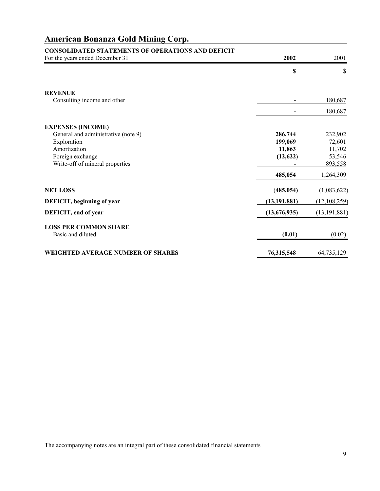| <b>CONSOLIDATED STATEMENTS OF OPERATIONS AND DEFICIT</b><br>For the years ended December 31 | 2002              | 2001             |
|---------------------------------------------------------------------------------------------|-------------------|------------------|
|                                                                                             |                   |                  |
|                                                                                             | \$                | \$               |
| <b>REVENUE</b>                                                                              |                   |                  |
| Consulting income and other                                                                 |                   | 180,687          |
|                                                                                             |                   | 180,687          |
| <b>EXPENSES (INCOME)</b>                                                                    |                   |                  |
| General and administrative (note 9)                                                         | 286,744           | 232,902          |
| Exploration<br>Amortization                                                                 | 199,069<br>11,863 | 72,601           |
| Foreign exchange                                                                            | (12, 622)         | 11,702<br>53,546 |
| Write-off of mineral properties                                                             |                   | 893,558          |
|                                                                                             | 485,054           | 1,264,309        |
| <b>NET LOSS</b>                                                                             | (485, 054)        | (1,083,622)      |
| DEFICIT, beginning of year                                                                  | (13, 191, 881)    | (12, 108, 259)   |
| DEFICIT, end of year                                                                        | (13,676,935)      | (13, 191, 881)   |
| <b>LOSS PER COMMON SHARE</b>                                                                |                   |                  |
| Basic and diluted                                                                           | (0.01)            | (0.02)           |
| <b>WEIGHTED AVERAGE NUMBER OF SHARES</b>                                                    | 76,315,548        | 64,735,129       |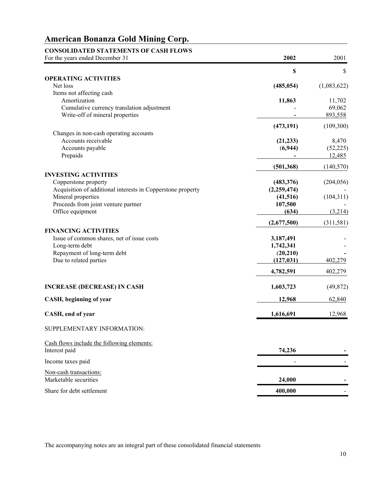### **CONSOLIDATED STATEMENTS OF CASH FLOWS**  For the years ended December 31 **2002** 2001 **\$** \$ **OPERATING ACTIVITIES**  Net loss (485,054) (1,083,622) Items not affecting cash Amortization **11,863** 11,702 Cumulative currency translation adjustment - 69,062 Write-off of mineral properties **a** *b* 893,558 **(473,191)** (109,300) Changes in non-cash operating accounts Accounts receivable **6.470** 8,470 Accounts payable (**6,944)** (52,225) Prepaids **-** 12,485  **(501,368)** (140,570) **INVESTING ACTIVITIES**  Copperstone property **(483,376)** (204,056) Acquisition of additional interests in Copperstone property **(2,259,474)** - Mineral properties **(41,516)** (104,311) Proceeds from joint venture partner **107,500** - **107,500** Office equipment **(634) (634) (3,214) (3,214) (5) (2,677,500)** (311,581) **FINANCING ACTIVITIES**  Issue of common shares, net of issue costs **3,187,491** - Long-term debt **1,742,341** - Repayment of long-term debt (20,210)  $\sqrt{20,210}$  Due to related parties **(127,031)\_** 402,279 **4,782,591** 402,279 **INCREASE (DECREASE) IN CASH 1,603,723** (49,872) **CASH, beginning of year 12,968** 62,840 **CASH, end of year** 1,616,691 **12,968** SUPPLEMENTARY INFORMATION: Cash flows include the following elements: **Interest paid 74,236** - *74,236* - *74,236* Income taxes paid  $\overline{\phantom{a}}$  -Non-cash transactions: Marketable securities **24,000** - **24,000** - **24,000** - **24,000** - **24,000** - **24,000**

Share for debt settlement **400,000**  $\frac{400,000}{\sqrt{100}}$ 

The accompanying notes are an integral part of these consolidated financial statements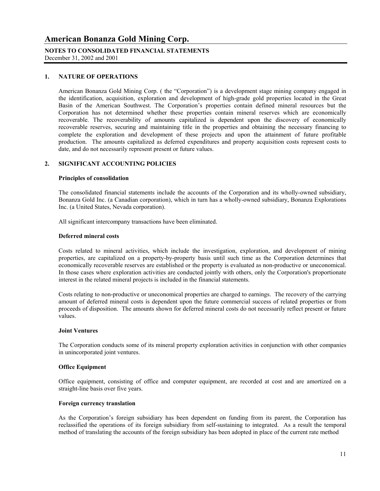### **NOTES TO CONSOLIDATED FINANCIAL STATEMENTS**

December 31, 2002 and 2001

#### **1. NATURE OF OPERATIONS**

American Bonanza Gold Mining Corp. ( the "Corporation") is a development stage mining company engaged in the identification, acquisition, exploration and development of high-grade gold properties located in the Great Basin of the American Southwest. The Corporation's properties contain defined mineral resources but the Corporation has not determined whether these properties contain mineral reserves which are economically recoverable. The recoverability of amounts capitalized is dependent upon the discovery of economically recoverable reserves, securing and maintaining title in the properties and obtaining the necessary financing to complete the exploration and development of these projects and upon the attainment of future profitable production. The amounts capitalized as deferred expenditures and property acquisition costs represent costs to date, and do not necessarily represent present or future values.

#### **2. SIGNIFICANT ACCOUNTING POLICIES**

#### **Principles of consolidation**

 The consolidated financial statements include the accounts of the Corporation and its wholly-owned subsidiary, Bonanza Gold Inc. (a Canadian corporation), which in turn has a wholly-owned subsidiary, Bonanza Explorations Inc. (a United States, Nevada corporation).

All significant intercompany transactions have been eliminated.

#### **Deferred mineral costs**

 Costs related to mineral activities, which include the investigation, exploration, and development of mining properties, are capitalized on a property-by-property basis until such time as the Corporation determines that economically recoverable reserves are established or the property is evaluated as non-productive or uneconomical. In those cases where exploration activities are conducted jointly with others, only the Corporation's proportionate interest in the related mineral projects is included in the financial statements.

 Costs relating to non-productive or uneconomical properties are charged to earnings. The recovery of the carrying amount of deferred mineral costs is dependent upon the future commercial success of related properties or from proceeds of disposition. The amounts shown for deferred mineral costs do not necessarily reflect present or future values.

#### **Joint Ventures**

The Corporation conducts some of its mineral property exploration activities in conjunction with other companies in unincorporated joint ventures.

#### **Office Equipment**

 Office equipment, consisting of office and computer equipment, are recorded at cost and are amortized on a straight-line basis over five years.

#### **Foreign currency translation**

 As the Corporation's foreign subsidiary has been dependent on funding from its parent, the Corporation has reclassified the operations of its foreign subsidiary from self-sustaining to integrated. As a result the temporal method of translating the accounts of the foreign subsidiary has been adopted in place of the current rate method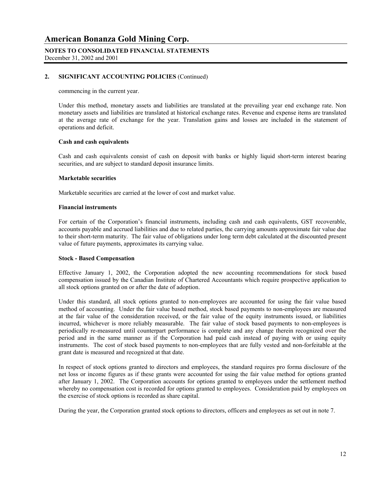#### **NOTES TO CONSOLIDATED FINANCIAL STATEMENTS** December 31, 2002 and 2001

#### **2. SIGNIFICANT ACCOUNTING POLICIES** (Continued)

commencing in the current year.

 Under this method, monetary assets and liabilities are translated at the prevailing year end exchange rate. Non monetary assets and liabilities are translated at historical exchange rates. Revenue and expense items are translated at the average rate of exchange for the year. Translation gains and losses are included in the statement of operations and deficit.

#### **Cash and cash equivalents**

Cash and cash equivalents consist of cash on deposit with banks or highly liquid short-term interest bearing securities, and are subject to standard deposit insurance limits.

#### **Marketable securities**

Marketable securities are carried at the lower of cost and market value.

#### **Financial instruments**

For certain of the Corporation's financial instruments, including cash and cash equivalents, GST recoverable, accounts payable and accrued liabilities and due to related parties, the carrying amounts approximate fair value due to their short-term maturity. The fair value of obligations under long term debt calculated at the discounted present value of future payments, approximates its carrying value.

#### **Stock - Based Compensation**

 Effective January 1, 2002, the Corporation adopted the new accounting recommendations for stock based compensation issued by the Canadian Institute of Chartered Accountants which require prospective application to all stock options granted on or after the date of adoption.

 Under this standard, all stock options granted to non-employees are accounted for using the fair value based method of accounting. Under the fair value based method, stock based payments to non-employees are measured at the fair value of the consideration received, or the fair value of the equity instruments issued, or liabilities incurred, whichever is more reliably measurable. The fair value of stock based payments to non-employees is periodically re-measured until counterpart performance is complete and any change therein recognized over the period and in the same manner as if the Corporation had paid cash instead of paying with or using equity instruments. The cost of stock based payments to non-employees that are fully vested and non-forfeitable at the grant date is measured and recognized at that date.

 In respect of stock options granted to directors and employees, the standard requires pro forma disclosure of the net loss or income figures as if these grants were accounted for using the fair value method for options granted after January 1, 2002. The Corporation accounts for options granted to employees under the settlement method whereby no compensation cost is recorded for options granted to employees. Consideration paid by employees on the exercise of stock options is recorded as share capital.

During the year, the Corporation granted stock options to directors, officers and employees as set out in note 7.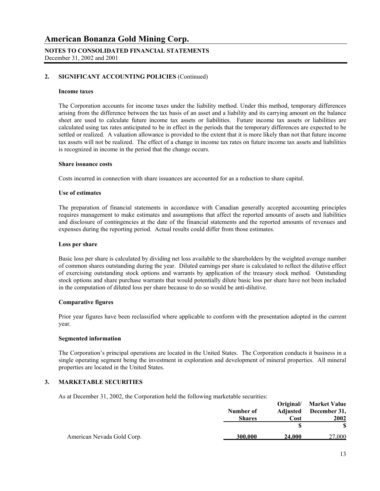#### **NOTES TO CONSOLIDATED FINANCIAL STATEMENTS** December 31, 2002 and 2001

#### **2. SIGNIFICANT ACCOUNTING POLICIES** (Continued)

#### **Income taxes**

The Corporation accounts for income taxes under the liability method. Under this method, temporary differences arising from the difference between the tax basis of an asset and a liability and its carrying amount on the balance sheet are used to calculate future income tax assets or liabilities. Future income tax assets or liabilities are calculated using tax rates anticipated to be in effect in the periods that the temporary differences are expected to be settled or realized. A valuation allowance is provided to the extent that it is more likely than not that future income tax assets will not be realized. The effect of a change in income tax rates on future income tax assets and liabilities is recognized in income in the period that the change occurs.

#### **Share issuance costs**

Costs incurred in connection with share issuances are accounted for as a reduction to share capital.

#### **Use of estimates**

The preparation of financial statements in accordance with Canadian generally accepted accounting principles requires management to make estimates and assumptions that affect the reported amounts of assets and liabilities and disclosure of contingencies at the date of the financial statements and the reported amounts of revenues and expenses during the reporting period. Actual results could differ from those estimates.

#### **Loss per share**

 Basic loss per share is calculated by dividing net loss available to the shareholders by the weighted average number of common shares outstanding during the year. Diluted earnings per share is calculated to reflect the dilutive effect of exercising outstanding stock options and warrants by application of the treasury stock method. Outstanding stock options and share purchase warrants that would potentially dilute basic loss per share have not been included in the computation of diluted loss per share because to do so would be anti-dilutive.

#### **Comparative figures**

 Prior year figures have been reclassified where applicable to conform with the presentation adopted in the current year.

#### **Segmented information**

 The Corporation's principal operations are located in the United States. The Corporation conducts it business in a single operating segment being the investment in exploration and development of mineral properties. All mineral properties are located in the United States.

#### **3. MARKETABLE SECURITIES**

As at December 31, 2002, the Corporation held the following marketable securities:

|                            |               |        | Original/ Market Value |
|----------------------------|---------------|--------|------------------------|
|                            | Number of     |        | Adjusted December 31,  |
|                            | <b>Shares</b> | Cost   | <b>2002</b>            |
|                            |               |        |                        |
| American Nevada Gold Corp. | 300,000       | 24,000 | 27.000                 |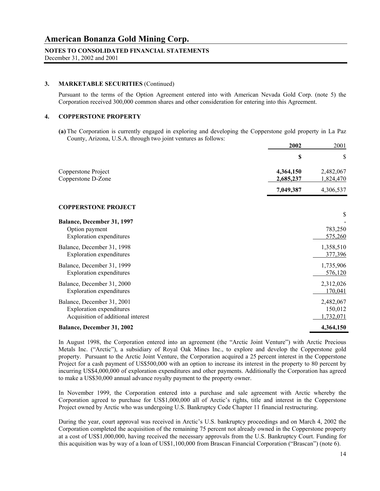### **NOTES TO CONSOLIDATED FINANCIAL STATEMENTS**

December 31, 2002 and 2001

#### **3. MARKETABLE SECURITIES** (Continued)

Pursuant to the terms of the Option Agreement entered into with American Nevada Gold Corp. (note 5) the Corporation received 300,000 common shares and other consideration for entering into this Agreement.

#### **4. COPPERSTONE PROPERTY**

**(a)** The Corporation is currently engaged in exploring and developing the Copperstone gold property in La Paz County, Arizona, U.S.A. through two joint ventures as follows:

|                                                                                                     | 2002                   | 2001                              |
|-----------------------------------------------------------------------------------------------------|------------------------|-----------------------------------|
|                                                                                                     | \$                     | \$                                |
| Copperstone Project<br>Copperstone D-Zone                                                           | 4,364,150<br>2,685,237 | 2,482,067<br>1,824,470            |
|                                                                                                     | 7,049,387              | 4,306,537                         |
| <b>COPPERSTONE PROJECT</b>                                                                          |                        |                                   |
| Balance, December 31, 1997                                                                          |                        | \$                                |
| Option payment<br><b>Exploration</b> expenditures                                                   |                        | 783,250<br>575,260                |
| Balance, December 31, 1998<br><b>Exploration</b> expenditures                                       |                        | 1,358,510<br>377,396              |
| Balance, December 31, 1999<br><b>Exploration</b> expenditures                                       |                        | 1,735,906<br>576,120              |
| Balance, December 31, 2000<br><b>Exploration</b> expenditures                                       |                        | 2,312,026<br>170,041              |
| Balance, December 31, 2001<br><b>Exploration</b> expenditures<br>Acquisition of additional interest |                        | 2,482,067<br>150,012<br>1,732,071 |
| Balance, December 31, 2002                                                                          |                        | 4,364,150                         |

In August 1998, the Corporation entered into an agreement (the "Arctic Joint Venture") with Arctic Precious Metals Inc. ("Arctic"), a subsidiary of Royal Oak Mines Inc., to explore and develop the Copperstone gold property. Pursuant to the Arctic Joint Venture, the Corporation acquired a 25 percent interest in the Copperstone Project for a cash payment of US\$500,000 with an option to increase its interest in the property to 80 percent by incurring US\$4,000,000 of exploration expenditures and other payments. Additionally the Corporation has agreed to make a US\$30,000 annual advance royalty payment to the property owner.

 In November 1999, the Corporation entered into a purchase and sale agreement with Arctic whereby the Corporation agreed to purchase for US\$1,000,000 all of Arctic's rights, title and interest in the Copperstone Project owned by Arctic who was undergoing U.S. Bankruptcy Code Chapter 11 financial restructuring.

 During the year, court approval was received in Arctic's U.S. bankruptcy proceedings and on March 4, 2002 the Corporation completed the acquisition of the remaining 75 percent not already owned in the Copperstone property at a cost of US\$1,000,000, having received the necessary approvals from the U.S. Bankruptcy Court. Funding for this acquisition was by way of a loan of US\$1,100,000 from Brascan Financial Corporation ("Brascan") (note 6).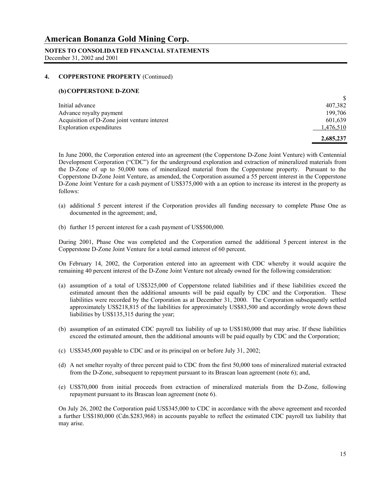**NOTES TO CONSOLIDATED FINANCIAL STATEMENTS** December 31, 2002 and 2001

#### **4. COPPERSTONE PROPERTY** (Continued)

#### **(b)COPPERSTONE D-ZONE**

| Initial advance                              | 407,382   |
|----------------------------------------------|-----------|
| Advance royalty payment                      | 199.706   |
| Acquisition of D-Zone joint venture interest | 601,639   |
| Exploration expenditures                     | 1,476,510 |
|                                              | 2,685,237 |

 In June 2000, the Corporation entered into an agreement (the Copperstone D-Zone Joint Venture) with Centennial Development Corporation ("CDC") for the underground exploration and extraction of mineralized materials from the D-Zone of up to 50,000 tons of mineralized material from the Copperstone property. Pursuant to the Copperstone D-Zone Joint Venture, as amended, the Corporation assumed a 55 percent interest in the Copperstone D-Zone Joint Venture for a cash payment of US\$375,000 with a an option to increase its interest in the property as follows:

- (a) additional 5 percent interest if the Corporation provides all funding necessary to complete Phase One as documented in the agreement; and,
- (b) further 15 percent interest for a cash payment of US\$500,000.

 During 2001, Phase One was completed and the Corporation earned the additional 5 percent interest in the Copperstone D-Zone Joint Venture for a total earned interest of 60 percent.

 On February 14, 2002, the Corporation entered into an agreement with CDC whereby it would acquire the remaining 40 percent interest of the D-Zone Joint Venture not already owned for the following consideration:

- (a) assumption of a total of US\$325,000 of Copperstone related liabilities and if these liabilities exceed the estimated amount then the additional amounts will be paid equally by CDC and the Corporation. These liabilities were recorded by the Corporation as at December 31, 2000. The Corporation subsequently settled approximately US\$218,815 of the liabilities for approximately US\$83,500 and accordingly wrote down these liabilities by US\$135,315 during the year;
- (b) assumption of an estimated CDC payroll tax liability of up to US\$180,000 that may arise. If these liabilities exceed the estimated amount, then the additional amounts will be paid equally by CDC and the Corporation;
- (c) US\$345,000 payable to CDC and or its principal on or before July 31, 2002;
- (d) A net smelter royalty of three percent paid to CDC from the first 50,000 tons of mineralized material extracted from the D-Zone, subsequent to repayment pursuant to its Brascan loan agreement (note 6); and,
- (e) US\$70,000 from initial proceeds from extraction of mineralized materials from the D-Zone, following repayment pursuant to its Brascan loan agreement (note 6).

On July 26, 2002 the Corporation paid US\$345,000 to CDC in accordance with the above agreement and recorded a further US\$180,000 (Cdn.\$283,968) in accounts payable to reflect the estimated CDC payroll tax liability that may arise.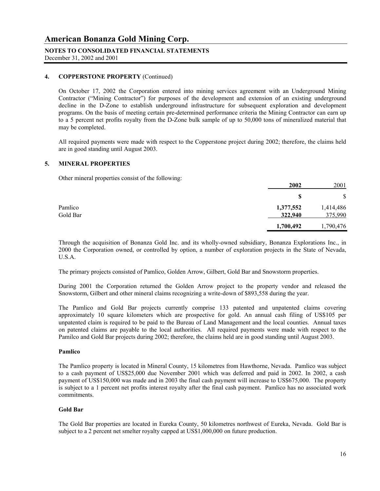### **NOTES TO CONSOLIDATED FINANCIAL STATEMENTS**

December 31, 2002 and 2001

#### **4. COPPERSTONE PROPERTY** (Continued)

 On October 17, 2002 the Corporation entered into mining services agreement with an Underground Mining Contractor ("Mining Contractor") for purposes of the development and extension of an existing underground decline in the D-Zone to establish underground infrastructure for subsequent exploration and development programs. On the basis of meeting certain pre-determined performance criteria the Mining Contractor can earn up to a 5 percent net profits royalty from the D-Zone bulk sample of up to 50,000 tons of mineralized material that may be completed.

 All required payments were made with respect to the Copperstone project during 2002; therefore, the claims held are in good standing until August 2003.

#### **5. MINERAL PROPERTIES**

Other mineral properties consist of the following:

|          | 2002      | 2001      |
|----------|-----------|-----------|
|          | S         | \$        |
| Pamlico  | 1,377,552 | 1,414,486 |
| Gold Bar | 322,940   | 375,990   |
|          | 1,700,492 | 1,790,476 |

 Through the acquisition of Bonanza Gold Inc. and its wholly-owned subsidiary, Bonanza Explorations Inc., in 2000 the Corporation owned, or controlled by option, a number of exploration projects in the State of Nevada, U.S.A.

The primary projects consisted of Pamlico, Golden Arrow, Gilbert, Gold Bar and Snowstorm properties.

 During 2001 the Corporation returned the Golden Arrow project to the property vendor and released the Snowstorm, Gilbert and other mineral claims recognizing a write-down of \$893,558 during the year.

 The Pamlico and Gold Bar projects currently comprise 133 patented and unpatented claims covering approximately 10 square kilometers which are prospective for gold. An annual cash filing of US\$105 per unpatented claim is required to be paid to the Bureau of Land Management and the local counties. Annual taxes on patented claims are payable to the local authorities. All required payments were made with respect to the Pamilco and Gold Bar projects during 2002; therefore, the claims held are in good standing until August 2003.

#### **Pamlico**

 The Pamlico property is located in Mineral County, 15 kilometres from Hawthorne, Nevada. Pamlico was subject to a cash payment of US\$25,000 due November 2001 which was deferred and paid in 2002. In 2002, a cash payment of US\$150,000 was made and in 2003 the final cash payment will increase to US\$675,000. The property is subject to a 1 percent net profits interest royalty after the final cash payment. Pamlico has no associated work commitments.

#### **Gold Bar**

 The Gold Bar properties are located in Eureka County, 50 kilometres northwest of Eureka, Nevada. Gold Bar is subject to a 2 percent net smelter royalty capped at US\$1,000,000 on future production.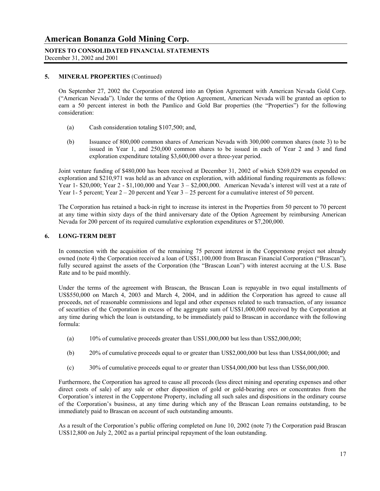### **NOTES TO CONSOLIDATED FINANCIAL STATEMENTS**

December 31, 2002 and 2001

#### **5. MINERAL PROPERTIES** (Continued)

On September 27, 2002 the Corporation entered into an Option Agreement with American Nevada Gold Corp. ("American Nevada"). Under the terms of the Option Agreement, American Nevada will be granted an option to earn a 50 percent interest in both the Pamlico and Gold Bar properties (the "Properties") for the following consideration:

- (a) Cash consideration totaling \$107,500; and,
- (b) Issuance of 800,000 common shares of American Nevada with 300,000 common shares (note 3) to be issued in Year 1, and 250,000 common shares to be issued in each of Year 2 and 3 and fund exploration expenditure totaling \$3,600,000 over a three-year period.

Joint venture funding of \$480,000 has been received at December 31, 2002 of which \$269,029 was expended on exploration and \$210,971 was held as an advance on exploration, with additional funding requirements as follows: Year 1- \$20,000; Year 2 - \$1,100,000 and Year 3 – \$2,000,000. American Nevada's interest will vest at a rate of Year 1- 5 percent; Year 2 – 20 percent and Year 3 – 25 percent for a cumulative interest of 50 percent.

The Corporation has retained a back-in right to increase its interest in the Properties from 50 percent to 70 percent at any time within sixty days of the third anniversary date of the Option Agreement by reimbursing American Nevada for 200 percent of its required cumulative exploration expenditures or \$7,200,000.

#### **6. LONG-TERM DEBT**

In connection with the acquisition of the remaining 75 percent interest in the Copperstone project not already owned (note 4) the Corporation received a loan of US\$1,100,000 from Brascan Financial Corporation ("Brascan"), fully secured against the assets of the Corporation (the "Brascan Loan") with interest accruing at the U.S. Base Rate and to be paid monthly.

Under the terms of the agreement with Brascan, the Brascan Loan is repayable in two equal installments of US\$550,000 on March 4, 2003 and March 4, 2004, and in addition the Corporation has agreed to cause all proceeds, net of reasonable commissions and legal and other expenses related to such transaction, of any issuance of securities of the Corporation in excess of the aggregate sum of US\$1,000,000 received by the Corporation at any time during which the loan is outstanding, to be immediately paid to Brascan in accordance with the following formula:

- (a) 10% of cumulative proceeds greater than US\$1,000,000 but less than US\$2,000,000;
- (b) 20% of cumulative proceeds equal to or greater than US\$2,000,000 but less than US\$4,000,000; and
- (c) 30% of cumulative proceeds equal to or greater than US\$4,000,000 but less than US\$6,000,000.

Furthermore, the Corporation has agreed to cause all proceeds (less direct mining and operating expenses and other direct costs of sale) of any sale or other disposition of gold or gold-bearing ores or concentrates from the Corporation's interest in the Copperstone Property, including all such sales and dispositions in the ordinary course of the Corporation's business, at any time during which any of the Brascan Loan remains outstanding, to be immediately paid to Brascan on account of such outstanding amounts.

As a result of the Corporation's public offering completed on June 10, 2002 (note 7) the Corporation paid Brascan US\$12,800 on July 2, 2002 as a partial principal repayment of the loan outstanding.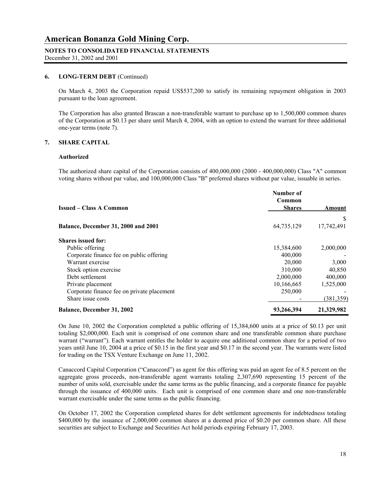#### **NOTES TO CONSOLIDATED FINANCIAL STATEMENTS**

December 31, 2002 and 2001

#### **6. LONG-TERM DEBT** (Continued)

On March 4, 2003 the Corporation repaid US\$537,200 to satisfy its remaining repayment obligation in 2003 pursuant to the loan agreement.

 The Corporation has also granted Brascan a non-transferable warrant to purchase up to 1,500,000 common shares of the Corporation at \$0.13 per share until March 4, 2004, with an option to extend the warrant for three additional one-year terms (note 7).

#### **7. SHARE CAPITAL**

#### **Authorized**

The authorized share capital of the Corporation consists of 400,000,000 (2000 - 400,000,000) Class "A" common voting shares without par value, and 100,000,000 Class "B" preferred shares without par value, issuable in series.

| <b>Issued – Class A Common</b>             | Number of<br>Common<br><b>Shares</b> | Amount     |
|--------------------------------------------|--------------------------------------|------------|
|                                            |                                      | S          |
| Balance, December 31, 2000 and 2001        | 64,735,129                           | 17,742,491 |
| <b>Shares issued for:</b>                  |                                      |            |
| Public offering                            | 15,384,600                           | 2,000,000  |
| Corporate finance fee on public offering   | 400,000                              |            |
| Warrant exercise                           | 20,000                               | 3,000      |
| Stock option exercise                      | 310,000                              | 40,850     |
| Debt settlement                            | 2,000,000                            | 400,000    |
| Private placement                          | 10,166,665                           | 1,525,000  |
| Corporate finance fee on private placement | 250,000                              |            |
| Share issue costs                          |                                      | (381, 359) |
| <b>Balance, December 31, 2002</b>          | 93,266,394                           | 21,329,982 |

 On June 10, 2002 the Corporation completed a public offering of 15,384,600 units at a price of \$0.13 per unit totaling \$2,000,000. Each unit is comprised of one common share and one transferable common share purchase warrant ("warrant"). Each warrant entitles the holder to acquire one additional common share for a period of two years until June 10, 2004 at a price of \$0.15 in the first year and \$0.17 in the second year. The warrants were listed for trading on the TSX Venture Exchange on June 11, 2002.

Canaccord Capital Corporation ("Canaccord") as agent for this offering was paid an agent fee of 8.5 percent on the aggregate gross proceeds, non-transferable agent warrants totaling 2,307,690 representing 15 percent of the number of units sold, exercisable under the same terms as the public financing, and a corporate finance fee payable through the issuance of 400,000 units. Each unit is comprised of one common share and one non-transferable warrant exercisable under the same terms as the public financing.

On October 17, 2002 the Corporation completed shares for debt settlement agreements for indebtedness totaling \$400,000 by the issuance of 2,000,000 common shares at a deemed price of \$0.20 per common share. All these securities are subject to Exchange and Securities Act hold periods expiring February 17, 2003.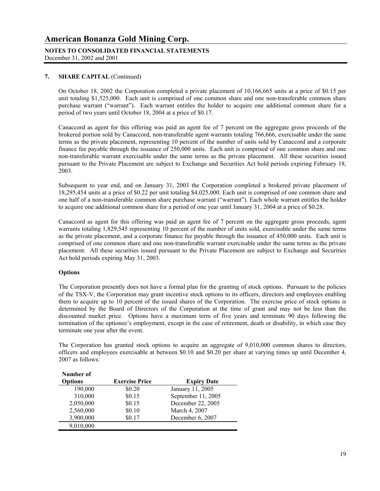## **NOTES TO CONSOLIDATED FINANCIAL STATEMENTS**

December 31, 2002 and 2001

#### **7. SHARE CAPITAL** (Continued)

On October 18, 2002 the Corporation completed a private placement of 10,166,665 units at a price of \$0.15 per unit totaling \$1,525,000. Each unit is comprised of one common share and one non-transferable common share purchase warrant ("warrant"). Each warrant entitles the holder to acquire one additional common share for a period of two years until October 18, 2004 at a price of \$0.17.

Canaccord as agent for this offering was paid an agent fee of 7 percent on the aggregate gross proceeds of the brokered portion sold by Canaccord, non-transferable agent warrants totaling 766,666, exercisable under the same terms as the private placement, representing 10 percent of the number of units sold by Canaccord and a corporate finance fee payable through the issuance of 250,000 units. Each unit is comprised of one common share and one non-transferable warrant exercisable under the same terms as the private placement. All these securities issued pursuant to the Private Placement are subject to Exchange and Securities Act hold periods expiring February 18, 2003.

Subsequent to year end, and on January 31, 2003 the Corporation completed a brokered private placement of 18,295,454 units at a price of \$0.22 per unit totaling \$4,025,000. Each unit is comprised of one common share and one half of a non-transferable common share purchase warrant ("warrant"). Each whole warrant entitles the holder to acquire one additional common share for a period of one year until January 31, 2004 at a price of \$0.28.

Canaccord as agent for this offering was paid an agent fee of 7 percent on the aggregate gross proceeds, agent warrants totaling 1,829,545 representing 10 percent of the number of units sold, exercisable under the same terms as the private placement, and a corporate finance fee payable through the issuance of 450,000 units. Each unit is comprised of one common share and one non-transferable warrant exercisable under the same terms as the private placement. All these securities issued pursuant to the Private Placement are subject to Exchange and Securities Act hold periods expiring May 31, 2003.

#### **Options**

 The Corporation presently does not have a formal plan for the granting of stock options. Pursuant to the policies of the TSX-V, the Corporation may grant incentive stock options to its officers, directors and employees enabling them to acquire up to 10 percent of the issued shares of the Corporation. The exercise price of stock options is determined by the Board of Directors of the Corporation at the time of grant and may not be less than the discounted market price. Options have a maximum term of five years and terminate 90 days following the termination of the optionee's employment, except in the case of retirement, death or disability, in which case they terminate one year after the event.

 The Corporation has granted stock options to acquire an aggregate of 9,010,000 common shares to directors, officers and employees exercisable at between \$0.10 and \$0.20 per share at varying times up until December 4, 2007 as follows:

| Number of      |                       |                    |
|----------------|-----------------------|--------------------|
| <b>Options</b> | <b>Exercise Price</b> | <b>Expiry Date</b> |
| 190,000        | \$0.20                | January 11, 2005   |
| 310,000        | \$0.15                | September 11, 2005 |
| 2,050,000      | \$0.15                | December 22, 2005  |
| 2,560,000      | \$0.10                | March 4, 2007      |
| 3,900,000      | \$0.17                | December 6, 2007   |
| 9,010,000      |                       |                    |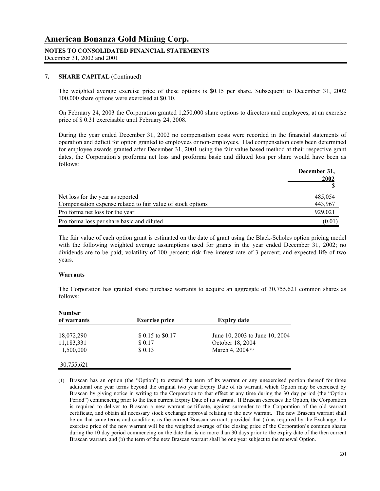### **NOTES TO CONSOLIDATED FINANCIAL STATEMENTS**

December 31, 2002 and 2001

#### **7. SHARE CAPITAL** (Continued)

 The weighted average exercise price of these options is \$0.15 per share. Subsequent to December 31, 2002 100,000 share options were exercised at \$0.10.

 On February 24, 2003 the Corporation granted 1,250,000 share options to directors and employees, at an exercise price of \$ 0.31 exercisable until February 24, 2008.

During the year ended December 31, 2002 no compensation costs were recorded in the financial statements of operation and deficit for option granted to employees or non-employees. Had compensation costs been determined for employee awards granted after December 31, 2001 using the fair value based method at their respective grant dates, the Corporation's proforma net loss and proforma basic and diluted loss per share would have been as follows:

|                                                             | December 31,<br>2002 |
|-------------------------------------------------------------|----------------------|
|                                                             |                      |
| Net loss for the year as reported                           | 485,054              |
| Compensation expense related to fair value of stock options | 443,967              |
| Pro forma net loss for the year                             | 929.021              |
| Pro forma loss per share basic and diluted                  | (0.01)               |

The fair value of each option grant is estimated on the date of grant using the Black-Scholes option pricing model with the following weighted average assumptions used for grants in the year ended December 31, 2002; no dividends are to be paid; volatility of 100 percent; risk free interest rate of 3 percent; and expected life of two years.

#### **Warrants**

 The Corporation has granted share purchase warrants to acquire an aggregate of 30,755,621 common shares as follows:

| <b>Number</b> |                       |                                |
|---------------|-----------------------|--------------------------------|
| of warrants   | <b>Exercise price</b> | <b>Expiry date</b>             |
| 18,072,290    | \$ 0.15 to \$0.17     | June 10, 2003 to June 10, 2004 |
| 11,183,331    | \$ 0.17               | October 18, 2004               |
| 1,500,000     | \$ 0.13               | March 4, 2004 (1)              |
| 30,755,621    |                       |                                |

(1) Brascan has an option (the "Option") to extend the term of its warrant or any unexercised portion thereof for three additional one year terms beyond the original two year Expiry Date of its warrant, which Option may be exercised by Brascan by giving notice in writing to the Corporation to that effect at any time during the 30 day period (the "Option Period") commencing prior to the then current Expiry Date of its warrant. If Brascan exercises the Option, the Corporation is required to deliver to Brascan a new warrant certificate, against surrender to the Corporation of the old warrant certificate, and obtain all necessary stock exchange approval relating to the new warrant. The new Brascan warrant shall be on that same terms and conditions as the current Brascan warrant; provided that (a) as required by the Exchange, the exercise price of the new warrant will be the weighted average of the closing price of the Corporation's common shares during the 10 day period commencing on the date that is no more than 30 days prior to the expiry date of the then current Brascan warrant, and (b) the term of the new Brascan warrant shall be one year subject to the renewal Option.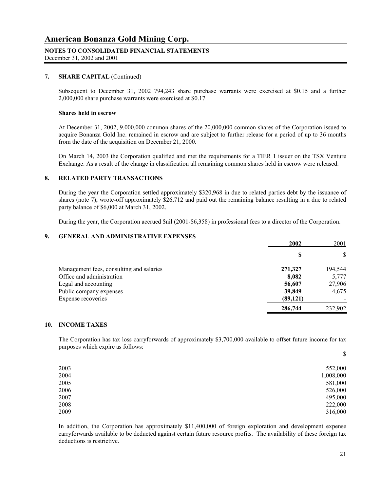#### **NOTES TO CONSOLIDATED FINANCIAL STATEMENTS**

December 31, 2002 and 2001

#### **7. SHARE CAPITAL** (Continued)

Subsequent to December 31, 2002 794,243 share purchase warrants were exercised at \$0.15 and a further 2,000,000 share purchase warrants were exercised at \$0.17

#### **Shares held in escrow**

 At December 31, 2002, 9,000,000 common shares of the 20,000,000 common shares of the Corporation issued to acquire Bonanza Gold Inc. remained in escrow and are subject to further release for a period of up to 36 months from the date of the acquisition on December 21, 2000.

 On March 14, 2003 the Corporation qualified and met the requirements for a TIER 1 issuer on the TSX Venture Exchange. As a result of the change in classification all remaining common shares held in escrow were released.

#### **8. RELATED PARTY TRANSACTIONS**

During the year the Corporation settled approximately \$320,968 in due to related parties debt by the issuance of shares (note 7), wrote-off approximately \$26,712 and paid out the remaining balance resulting in a due to related party balance of \$6,000 at March 31, 2002.

During the year, the Corporation accrued \$nil (2001-\$6,358) in professional fees to a director of the Corporation.

#### **9. GENERAL AND ADMINISTRATIVE EXPENSES**

|                                          | 2002      | 2001    |
|------------------------------------------|-----------|---------|
|                                          | S         | \$      |
| Management fees, consulting and salaries | 271,327   | 194,544 |
| Office and administration                | 8,082     | 5,777   |
| Legal and accounting                     | 56,607    | 27,906  |
| Public company expenses                  | 39,849    | 4,675   |
| Expense recoveries                       | (89, 121) |         |
|                                          | 286,744   | 232,902 |

#### **10. INCOME TAXES**

The Corporation has tax loss carryforwards of approximately \$3,700,000 available to offset future income for tax purposes which expire as follows:

|      | \$        |
|------|-----------|
| 2003 | 552,000   |
| 2004 | 1,008,000 |
| 2005 | 581,000   |
| 2006 | 526,000   |
| 2007 | 495,000   |
| 2008 | 222,000   |
| 2009 | 316,000   |
|      |           |

In addition, the Corporation has approximately \$11,400,000 of foreign exploration and development expense carryforwards available to be deducted against certain future resource profits. The availability of these foreign tax deductions is restrictive.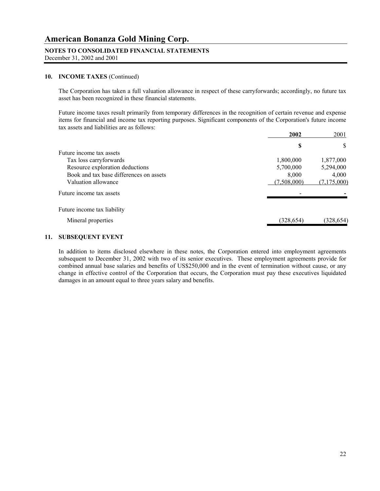#### **NOTES TO CONSOLIDATED FINANCIAL STATEMENTS**

December 31, 2002 and 2001

#### **10. INCOME TAXES** (Continued)

The Corporation has taken a full valuation allowance in respect of these carryforwards; accordingly, no future tax asset has been recognized in these financial statements.

Future income taxes result primarily from temporary differences in the recognition of certain revenue and expense items for financial and income tax reporting purposes. Significant components of the Corporation's future income tax assets and liabilities are as follows:

|                                         | 2002        | 2001        |
|-----------------------------------------|-------------|-------------|
|                                         | \$          | S           |
| Future income tax assets                |             |             |
| Tax loss carryforwards                  | 1,800,000   | 1,877,000   |
| Resource exploration deductions         | 5,700,000   | 5,294,000   |
| Book and tax base differences on assets | 8,000       | 4,000       |
| Valuation allowance                     | (7,508,000) | (7,175,000) |
| Future income tax assets                |             |             |
| Future income tax liability             |             |             |
| Mineral properties                      | (328, 654)  | (328, 654)  |
|                                         |             |             |

#### **11. SUBSEQUENT EVENT**

In addition to items disclosed elsewhere in these notes, the Corporation entered into employment agreements subsequent to December 31, 2002 with two of its senior executives. These employment agreements provide for combined annual base salaries and benefits of US\$250,000 and in the event of termination without cause, or any change in effective control of the Corporation that occurs, the Corporation must pay these executives liquidated damages in an amount equal to three years salary and benefits.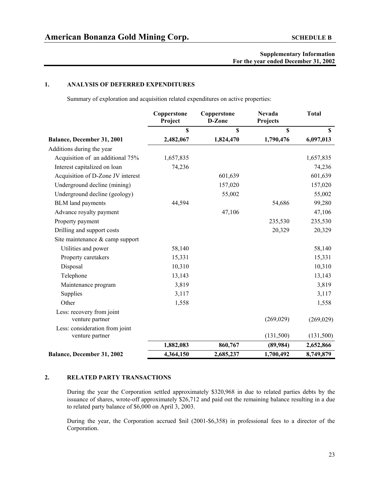#### **1. ANALYSIS OF DEFERRED EXPENDITURES**

Summary of exploration and acquisition related expenditures on active properties:

|                                                   | Copperstone<br>Project | Copperstone<br>D-Zone | <b>Nevada</b><br>Projects | <b>Total</b> |
|---------------------------------------------------|------------------------|-----------------------|---------------------------|--------------|
|                                                   | \$                     | \$                    | $\mathbf S$               | $\mathbf S$  |
| Balance, December 31, 2001                        | 2,482,067              | 1,824,470             | 1,790,476                 | 6,097,013    |
| Additions during the year                         |                        |                       |                           |              |
| Acquisition of an additional 75%                  | 1,657,835              |                       |                           | 1,657,835    |
| Interest capitalized on loan                      | 74,236                 |                       |                           | 74,236       |
| Acquisition of D-Zone JV interest                 |                        | 601,639               |                           | 601,639      |
| Underground decline (mining)                      |                        | 157,020               |                           | 157,020      |
| Underground decline (geology)                     |                        | 55,002                |                           | 55,002       |
| <b>BLM</b> land payments                          | 44,594                 |                       | 54,686                    | 99,280       |
| Advance royalty payment                           |                        | 47,106                |                           | 47,106       |
| Property payment                                  |                        |                       | 235,530                   | 235,530      |
| Drilling and support costs                        |                        |                       | 20,329                    | 20,329       |
| Site maintenance & camp support                   |                        |                       |                           |              |
| Utilities and power                               | 58,140                 |                       |                           | 58,140       |
| Property caretakers                               | 15,331                 |                       |                           | 15,331       |
| Disposal                                          | 10,310                 |                       |                           | 10,310       |
| Telephone                                         | 13,143                 |                       |                           | 13,143       |
| Maintenance program                               | 3,819                  |                       |                           | 3,819        |
| Supplies                                          | 3,117                  |                       |                           | 3,117        |
| Other                                             | 1,558                  |                       |                           | 1,558        |
| Less: recovery from joint<br>venture partner      |                        |                       | (269, 029)                | (269, 029)   |
| Less: consideration from joint<br>venture partner |                        |                       | (131,500)                 | (131,500)    |
|                                                   | 1,882,083              | 860,767               | (89, 984)                 | 2,652,866    |
| Balance, December 31, 2002                        | 4,364,150              | 2,685,237             | 1,700,492                 | 8,749,879    |

#### **2. RELATED PARTY TRANSACTIONS**

 During the year the Corporation settled approximately \$320,968 in due to related parties debts by the issuance of shares, wrote-off approximately \$26,712 and paid out the remaining balance resulting in a due to related party balance of \$6,000 on April 3, 2003.

During the year, the Corporation accrued \$nil (2001-\$6,358) in professional fees to a director of the Corporation.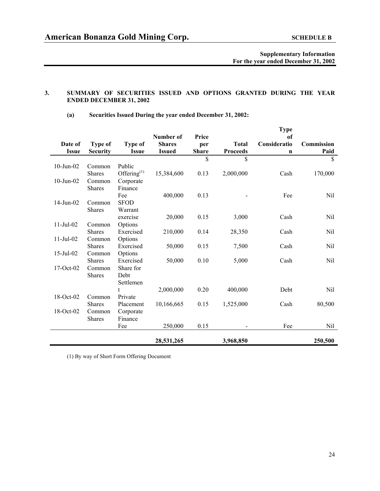#### **3. SUMMARY OF SECURITIES ISSUED AND OPTIONS GRANTED DURING THE YEAR ENDED DECEMBER 31, 2002**

|  | (a) |  |  | Securities Issued During the year ended December 31, 2002: |
|--|-----|--|--|------------------------------------------------------------|
|--|-----|--|--|------------------------------------------------------------|

|                 |                         |                      | Number of     | Price        |                 | <b>Type</b><br>of |               |
|-----------------|-------------------------|----------------------|---------------|--------------|-----------------|-------------------|---------------|
| Date of         | Type of                 | <b>Type of</b>       | <b>Shares</b> | per          | <b>Total</b>    | Consideratio      | Commission    |
| <b>Issue</b>    | <b>Security</b>         | <b>Issue</b>         | <b>Issued</b> | <b>Share</b> | <b>Proceeds</b> | $\mathbf n$       | Paid          |
|                 |                         |                      |               | \$           | \$              |                   | $\mathsf{\$}$ |
| $10$ -Jun- $02$ | Common                  | Public               |               |              |                 |                   |               |
|                 | <b>Shares</b>           | Offering $^{(1)}$    | 15,384,600    | 0.13         | 2,000,000       | Cash              | 170,000       |
| $10$ -Jun- $02$ | Common                  | Corporate            |               |              |                 |                   |               |
|                 | <b>Shares</b>           | Finance              |               |              |                 |                   |               |
|                 |                         | Fee                  | 400,000       | 0.13         |                 | Fee               | Nil           |
| 14-Jun-02       | Common                  | <b>SFOD</b>          |               |              |                 |                   |               |
|                 | <b>Shares</b>           | Warrant              |               |              |                 |                   |               |
|                 |                         | exercise             | 20,000        | 0.15         | 3,000           | Cash              | Nil           |
| $11$ -Jul-02    | Common                  | Options              |               |              |                 |                   |               |
|                 | <b>Shares</b>           | Exercised            | 210,000       | 0.14         | 28,350          | Cash              | Nil           |
| $11-Jul-02$     | Common<br><b>Shares</b> | Options<br>Exercised |               | 0.15         |                 | Cash              | Nil           |
| $15$ -Jul-02    | Common                  |                      | 50,000        |              | 7,500           |                   |               |
|                 | <b>Shares</b>           | Options<br>Exercised | 50,000        | 0.10         | 5,000           | Cash              | Nil           |
| 17-Oct-02       | Common                  | Share for            |               |              |                 |                   |               |
|                 | Shares                  | Debt                 |               |              |                 |                   |               |
|                 |                         | Settlemen            |               |              |                 |                   |               |
|                 |                         | t                    | 2,000,000     | 0.20         | 400,000         | Debt              | Nil           |
| 18-Oct-02       | Common                  | Private              |               |              |                 |                   |               |
|                 | <b>Shares</b>           | Placement            | 10,166,665    | 0.15         | 1,525,000       | Cash              | 80,500        |
| 18-Oct-02       | Common                  | Corporate            |               |              |                 |                   |               |
|                 | Shares                  | Finance              |               |              |                 |                   |               |
|                 |                         | Fee                  | 250,000       | 0.15         |                 | Fee               | Nil           |
|                 |                         |                      |               |              |                 |                   |               |
|                 |                         |                      | 28,531,265    |              | 3,968,850       |                   | 250,500       |

(1) By way of Short Form Offering Document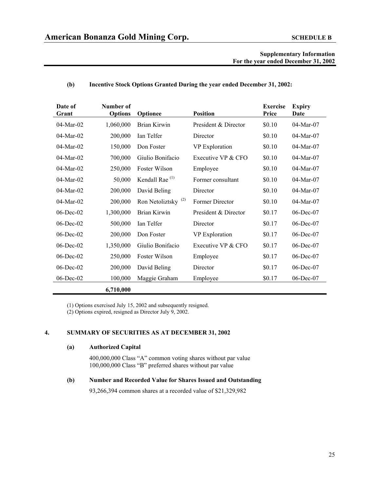#### **(b) Incentive Stock Options Granted During the year ended December 31, 2002:**

| Date of<br>Grant | Number of<br><b>Options</b> | Optionee                       | <b>Position</b>      | <b>Exercise</b><br>Price | <b>Expiry</b><br>Date |
|------------------|-----------------------------|--------------------------------|----------------------|--------------------------|-----------------------|
| $04$ -Mar- $02$  | 1,060,000                   | Brian Kirwin                   | President & Director | \$0.10                   | 04-Mar-07             |
| $04$ -Mar- $02$  | 200,000                     | Ian Telfer                     | Director             | \$0.10                   | 04-Mar-07             |
| 04-Mar-02        | 150,000                     | Don Foster                     | VP Exploration       | \$0.10                   | 04-Mar-07             |
| 04-Mar-02        | 700,000                     | Giulio Bonifacio               | Executive VP & CFO   | \$0.10                   | 04-Mar-07             |
| $04$ -Mar- $02$  | 250,000                     | Foster Wilson                  | Employee             | \$0.10                   | 04-Mar-07             |
| $04$ -Mar- $02$  | 50,000                      | Kendall Rae <sup>(1)</sup>     | Former consultant    | \$0.10                   | 04-Mar-07             |
| 04-Mar-02        | 200,000                     | David Beling                   | Director             | \$0.10                   | 04-Mar-07             |
| 04-Mar-02        | 200,000                     | Ron Netoliztsky <sup>(2)</sup> | Former Director      | \$0.10                   | 04-Mar-07             |
| $06$ -Dec- $02$  | 1,300,000                   | Brian Kirwin                   | President & Director | \$0.17                   | $06$ -Dec-07          |
| $06$ -Dec- $02$  | 500,000                     | Ian Telfer                     | Director             | \$0.17                   | $06$ -Dec-07          |
| $06$ -Dec- $02$  | 200,000                     | Don Foster                     | VP Exploration       | \$0.17                   | $06$ -Dec-07          |
| 06-Dec-02        | 1,350,000                   | Giulio Bonifacio               | Executive VP & CFO   | \$0.17                   | 06-Dec-07             |
| $06$ -Dec- $02$  | 250,000                     | Foster Wilson                  | Employee             | \$0.17                   | $06$ -Dec-07          |
| $06$ -Dec- $02$  | 200,000                     | David Beling                   | Director             | \$0.17                   | $06$ -Dec-07          |
| $06$ -Dec- $02$  | 100,000                     | Maggie Graham                  | Employee             | \$0.17                   | $06$ -Dec-07          |
|                  | 6,710,000                   |                                |                      |                          |                       |

(1) Options exercised July 15, 2002 and subsequently resigned. (2) Options expired, resigned as Director July 9, 2002.

#### **4. SUMMARY OF SECURITIES AS AT DECEMBER 31, 2002**

#### **(a) Authorized Capital**

400,000,000 Class "A" common voting shares without par value 100,000,000 Class "B" preferred shares without par value

#### **(b) Number and Recorded Value for Shares Issued and Outstanding**

93,266,394 common shares at a recorded value of \$21,329,982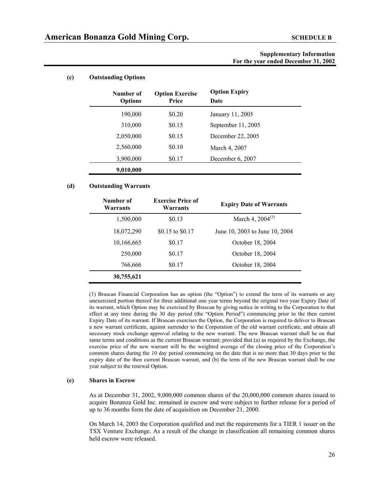#### **(c) Outstanding Options**

| Number of<br><b>Options</b> | <b>Option Exercise</b><br>Price | <b>Option Expiry</b><br>Date |  |
|-----------------------------|---------------------------------|------------------------------|--|
| 190,000                     | \$0.20                          | January 11, 2005             |  |
| 310,000                     | \$0.15                          | September 11, 2005           |  |
| 2,050,000                   | \$0.15                          | December 22, 2005            |  |
| 2,560,000                   | \$0.10                          | March 4, 2007                |  |
| 3,900,000                   | \$0.17                          | December 6, 2007             |  |
| 9,010,000                   |                                 |                              |  |

#### **(d) Outstanding Warrants**

| Number of<br>Warrants | <b>Exercise Price of</b><br>Warrants | <b>Expiry Date of Warrants</b> |
|-----------------------|--------------------------------------|--------------------------------|
| 1,500,000             | \$0.13                               | March 4, $2004^{(1)}$          |
| 18,072,290            | \$0.15 to \$0.17                     | June 10, 2003 to June 10, 2004 |
| 10,166,665            | \$0.17                               | October 18, 2004               |
| 250,000               | \$0.17                               | October 18, 2004               |
| 766,666               | \$0.17                               | October 18, 2004               |
| 30,755,621            |                                      |                                |

(1) Brascan Financial Corporation has an option (the "Option") to extend the term of its warrants or any unexercised portion thereof for three additional one year terms beyond the original two year Expiry Date of its warrant, which Option may be exercised by Brascan by giving notice in writing to the Corporation to that effect at any time during the 30 day period (the "Option Period") commencing prior to the then current Expiry Date of its warrant. If Brascan exercises the Option, the Corporation is required to deliver to Brascan a new warrant certificate, against surrender to the Corporation of the old warrant certificate, and obtain all necessary stock exchange approval relating to the new warrant. The new Brascan warrant shall be on that same terms and conditions as the current Brascan warrant; provided that (a) as required by the Exchange, the exercise price of the new warrant will be the weighted average of the closing price of the Corporation's common shares during the 10 day period commencing on the date that is no more than 30 days prior to the expiry date of the then current Brascan warrant, and (b) the term of the new Brascan warrant shall be one year subject to the renewal Option.

#### **(e) Shares in Escrow**

As at December 31, 2002, 9,000,000 common shares of the 20,000,000 common shares issued to acquire Bonanza Gold Inc. remained in escrow and were subject to further release for a period of up to 36 months form the date of acquisition on December 21, 2000.

On March 14, 2003 the Corporation qualified and met the requirements for a TIER 1 issuer on the TSX Venture Exchange. As a result of the change in classification all remaining common shares held escrow were released.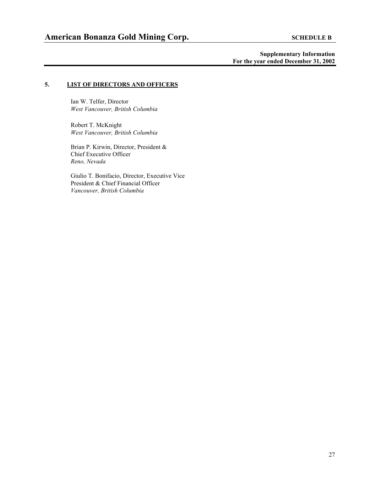#### **5. LIST OF DIRECTORS AND OFFICERS**

Ian W. Telfer, Director *West Vancouver, British Columbia* 

Robert T. McKnight *West Vancouver, British Columbia* 

Brian P. Kirwin, Director, President & Chief Executive Officer *Reno, Nevada*

Giulio T. Bonifacio, Director, Executive Vice President & Chief Financial Officer *Vancouver, British Columbia*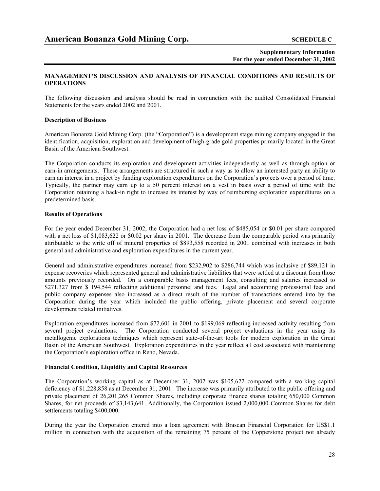#### **MANAGEMENT'S DISCUSSION AND ANALYSIS OF FINANCIAL CONDITIONS AND RESULTS OF OPERATIONS**

The following discussion and analysis should be read in conjunction with the audited Consolidated Financial Statements for the years ended 2002 and 2001.

#### **Description of Business**

American Bonanza Gold Mining Corp. (the "Corporation") is a development stage mining company engaged in the identification, acquisition, exploration and development of high-grade gold properties primarily located in the Great Basin of the American Southwest.

The Corporation conducts its exploration and development activities independently as well as through option or earn-in arrangements. These arrangements are structured in such a way as to allow an interested party an ability to earn an interest in a project by funding exploration expenditures on the Corporation's projects over a period of time. Typically, the partner may earn up to a 50 percent interest on a vest in basis over a period of time with the Corporation retaining a back-in right to increase its interest by way of reimbursing exploration expenditures on a predetermined basis.

#### **Results of Operations**

For the year ended December 31, 2002, the Corporation had a net loss of \$485,054 or \$0.01 per share compared with a net loss of \$1,083,622 or \$0.02 per share in 2001. The decrease from the comparable period was primarily attributable to the write off of mineral properties of \$893,558 recorded in 2001 combined with increases in both general and administrative and exploration expenditures in the current year.

General and administrative expenditures increased from \$232,902 to \$286,744 which was inclusive of \$89,121 in expense recoveries which represented general and administrative liabilities that were settled at a discount from those amounts previously recorded. On a comparable basis management fees, consulting and salaries increased to \$271,327 from \$ 194,544 reflecting additional personnel and fees. Legal and accounting professional fees and public company expenses also increased as a direct result of the number of transactions entered into by the Corporation during the year which included the public offering, private placement and several corporate development related initiatives.

Exploration expenditures increased from \$72,601 in 2001 to \$199,069 reflecting increased activity resulting from several project evaluations. The Corporation conducted several project evaluations in the year using its metallogenic explorations techniques which represent state-of-the-art tools for modern exploration in the Great Basin of the American Southwest. Exploration expenditures in the year reflect all cost associated with maintaining the Corporation's exploration office in Reno, Nevada.

#### **Financial Condition, Liquidity and Capital Resources**

The Corporation's working capital as at December 31, 2002 was \$105,622 compared with a working capital deficiency of \$1,228,858 as at December 31, 2001. The increase was primarily attributed to the public offering and private placement of 26,201,265 Common Shares, including corporate finance shares totaling 650,000 Common Shares, for net proceeds of \$3,143,641. Additionally, the Corporation issued 2,000,000 Common Shares for debt settlements totaling \$400,000.

During the year the Corporation entered into a loan agreement with Brascan Financial Corporation for US\$1.1 million in connection with the acquisition of the remaining 75 percent of the Copperstone project not already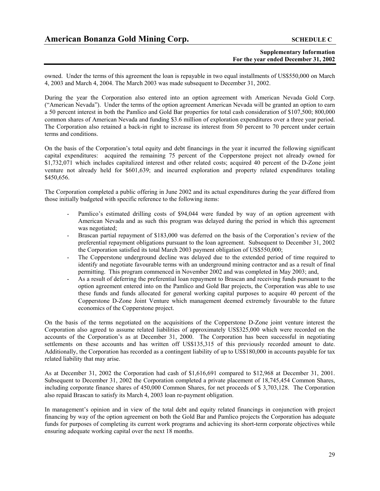owned. Under the terms of this agreement the loan is repayable in two equal installments of US\$550,000 on March 4, 2003 and March 4, 2004. The March 2003 was made subsequent to December 31, 2002.

During the year the Corporation also entered into an option agreement with American Nevada Gold Corp. ("American Nevada"). Under the terms of the option agreement American Nevada will be granted an option to earn a 50 percent interest in both the Pamlico and Gold Bar properties for total cash consideration of \$107,500; 800,000 common shares of American Nevada and funding \$3.6 million of exploration expenditures over a three year period. The Corporation also retained a back-in right to increase its interest from 50 percent to 70 percent under certain terms and conditions.

On the basis of the Corporation's total equity and debt financings in the year it incurred the following significant capital expenditures: acquired the remaining 75 percent of the Copperstone project not already owned for \$1,732,071 which includes capitalized interest and other related costs; acquired 40 percent of the D-Zone joint venture not already held for \$601,639; and incurred exploration and property related expenditures totaling \$450,656.

The Corporation completed a public offering in June 2002 and its actual expenditures during the year differed from those initially budgeted with specific reference to the following items:

- Pamlico's estimated drilling costs of \$94,044 were funded by way of an option agreement with American Nevada and as such this program was delayed during the period in which this agreement was negotiated;
- Brascan partial repayment of \$183,000 was deferred on the basis of the Corporation's review of the preferential repayment obligations pursuant to the loan agreement. Subsequent to December 31, 2002 the Corporation satisfied its total March 2003 payment obligation of US\$550,000;
- The Copperstone underground decline was delayed due to the extended period of time required to identify and negotiate favourable terms with an underground mining contractor and as a result of final permitting. This program commenced in November 2002 and was completed in May 2003; and,
- As a result of deferring the preferential loan repayment to Brascan and receiving funds pursuant to the option agreement entered into on the Pamlico and Gold Bar projects, the Corporation was able to use these funds and funds allocated for general working capital purposes to acquire 40 percent of the Copperstone D-Zone Joint Venture which management deemed extremely favourable to the future economics of the Copperstone project.

On the basis of the terms negotiated on the acquisitions of the Copperstone D-Zone joint venture interest the Corporation also agreed to assume related liabilities of approximately US\$325,000 which were recorded on the accounts of the Corporation's as at December 31, 2000. The Corporation has been successful in negotiating settlements on these accounts and has written off US\$135,315 of this previously recorded amount to date. Additionally, the Corporation has recorded as a contingent liability of up to US\$180,000 in accounts payable for tax related liability that may arise.

As at December 31, 2002 the Corporation had cash of \$1,616,691 compared to \$12,968 at December 31, 2001. Subsequent to December 31, 2002 the Corporation completed a private placement of 18,745,454 Common Shares, including corporate finance shares of 450,000 Common Shares, for net proceeds of \$ 3,703,128. The Corporation also repaid Brascan to satisfy its March 4, 2003 loan re-payment obligation.

In management's opinion and in view of the total debt and equity related financings in conjunction with project financing by way of the option agreement on both the Gold Bar and Pamlico projects the Corporation has adequate funds for purposes of completing its current work programs and achieving its short-term corporate objectives while ensuring adequate working capital over the next 18 months.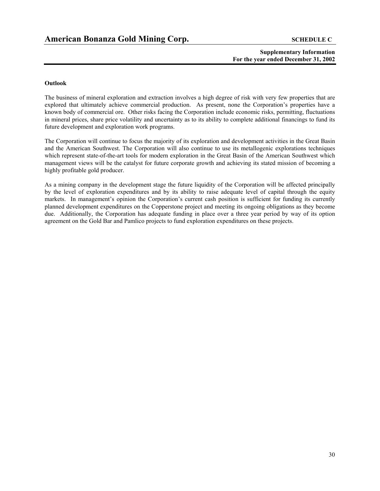#### **Outlook**

The business of mineral exploration and extraction involves a high degree of risk with very few properties that are explored that ultimately achieve commercial production. As present, none the Corporation's properties have a known body of commercial ore. Other risks facing the Corporation include economic risks, permitting, fluctuations in mineral prices, share price volatility and uncertainty as to its ability to complete additional financings to fund its future development and exploration work programs.

The Corporation will continue to focus the majority of its exploration and development activities in the Great Basin and the American Southwest. The Corporation will also continue to use its metallogenic explorations techniques which represent state-of-the-art tools for modern exploration in the Great Basin of the American Southwest which management views will be the catalyst for future corporate growth and achieving its stated mission of becoming a highly profitable gold producer.

As a mining company in the development stage the future liquidity of the Corporation will be affected principally by the level of exploration expenditures and by its ability to raise adequate level of capital through the equity markets. In management's opinion the Corporation's current cash position is sufficient for funding its currently planned development expenditures on the Copperstone project and meeting its ongoing obligations as they become due. Additionally, the Corporation has adequate funding in place over a three year period by way of its option agreement on the Gold Bar and Pamlico projects to fund exploration expenditures on these projects.